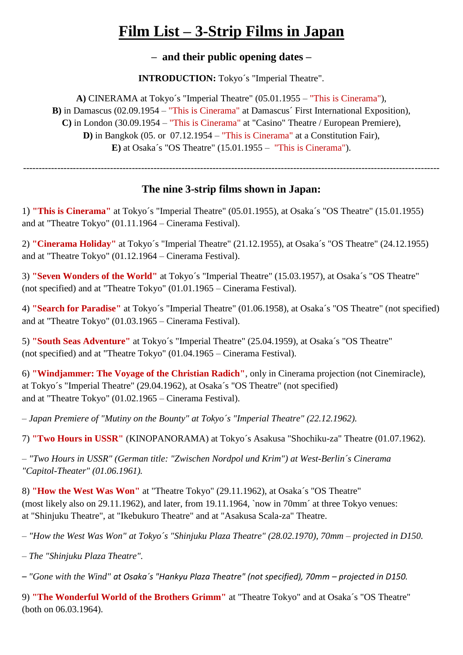## **Film List – 3-Strip Films in Japan**

**– and their public opening dates –**

**INTRODUCTION:** Tokyo's "Imperial Theatre".

**A)** CINERAMA at Tokyo´s "Imperial Theatre" (05.01.1955 – "This is Cinerama"), **B**) in Damascus (02.09.1954 – "This is Cinerama" at Damascus' First International Exposition), **C)** in London (30.09.1954 – "This is Cinerama" at "Casino" Theatre / European Premiere), **D)** in Bangkok (05. or 07.12.1954 – "This is Cinerama" at a Constitution Fair), **E)** at Osaka´s "OS Theatre" (15.01.1955 – "This is Cinerama").

#### **The nine 3-strip films shown in Japan:**

--------------------------------------------------------------------------------------------------------------------------------------

1) **"This is Cinerama"** at Tokyo´s "Imperial Theatre" (05.01.1955), at Osaka´s "OS Theatre" (15.01.1955) and at "Theatre Tokyo" (01.11.1964 – Cinerama Festival).

2) **"Cinerama Holiday"** at Tokyo´s "Imperial Theatre" (21.12.1955), at Osaka´s "OS Theatre" (24.12.1955) and at "Theatre Tokyo" (01.12.1964 – Cinerama Festival).

3) **"Seven Wonders of the World"** at Tokyo´s "Imperial Theatre" (15.03.1957), at Osaka´s "OS Theatre" (not specified) and at "Theatre Tokyo" (01.01.1965 – Cinerama Festival).

4) **"Search for Paradise"** at Tokyo´s "Imperial Theatre" (01.06.1958), at Osaka´s "OS Theatre" (not specified) and at "Theatre Tokyo" (01.03.1965 – Cinerama Festival).

5) **"South Seas Adventure"** at Tokyo´s "Imperial Theatre" (25.04.1959), at Osaka´s "OS Theatre" (not specified) and at "Theatre Tokyo" (01.04.1965 – Cinerama Festival).

6) **"Windjammer: The Voyage of the Christian Radich"**, only in Cinerama projection (not Cinemiracle), at Tokyo´s "Imperial Theatre" (29.04.1962), at Osaka´s "OS Theatre" (not specified) and at "Theatre Tokyo" (01.02.1965 – Cinerama Festival).

*– Japan Premiere of "Mutiny on the Bounty" at Tokyo´s "Imperial Theatre" (22.12.1962).*

7) **"Two Hours in USSR"** (KINOPANORAMA) at Tokyo´s Asakusa "Shochiku-za" Theatre (01.07.1962).

*– "Two Hours in USSR" (German title: "Zwischen Nordpol und Krim") at West-Berlin´s Cinerama "Capitol-Theater" (01.06.1961).*

8) **"How the West Was Won"** at "Theatre Tokyo" (29.11.1962), at Osaka´s "OS Theatre" (most likely also on 29.11.1962), and later, from 19.11.1964, `now in 70mm´ at three Tokyo venues: at "Shinjuku Theatre", at "Ikebukuro Theatre" and at "Asakusa Scala-za" Theatre.

*– "How the West Was Won" at Tokyo´s "Shinjuku Plaza Theatre" (28.02.1970), 70mm – projected in D150.*

*– The "Shinjuku Plaza Theatre".* 

*– "Gone with the Wind" at Osaka´s "Hankyu Plaza Theatre" (not specified), 70mm – projected in D150.*

9) **"The Wonderful World of the Brothers Grimm"** at "Theatre Tokyo" and at Osaka´s "OS Theatre" (both on 06.03.1964).